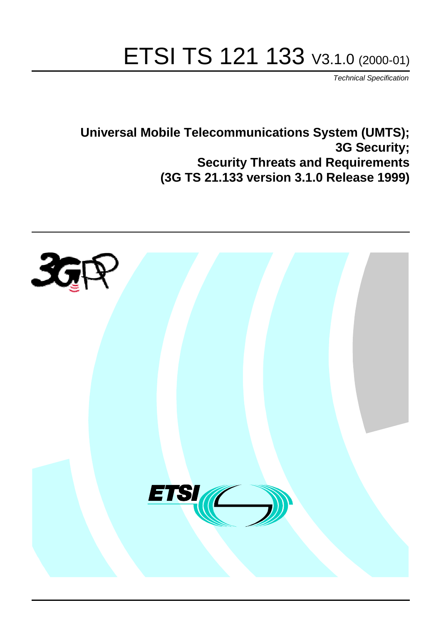# ETSI TS 121 133 V3.1.0 (2000-01)

Technical Specification

**Universal Mobile Telecommunications System (UMTS); 3G Security; Security Threats and Requirements (3G TS 21.133 version 3.1.0 Release 1999)**

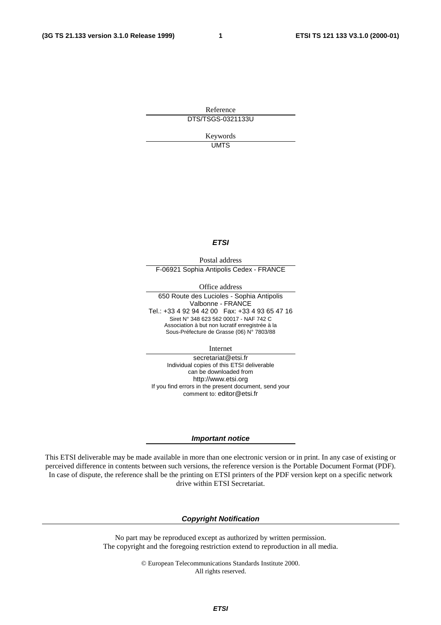**1**

Reference DTS/TSGS-0321133U

> Keywords UMTS

#### **ETSI**

Postal address F-06921 Sophia Antipolis Cedex - FRANCE

Office address

650 Route des Lucioles - Sophia Antipolis Valbonne - FRANCE Tel.: +33 4 92 94 42 00 Fax: +33 4 93 65 47 16 Siret N° 348 623 562 00017 - NAF 742 C Association à but non lucratif enregistrée à la Sous-Préfecture de Grasse (06) N° 7803/88

Internet

secretariat@etsi.fr Individual copies of this ETSI deliverable can be downloaded from http://www.etsi.org If you find errors in the present document, send your comment to: editor@etsi.fr

#### **Important notice**

This ETSI deliverable may be made available in more than one electronic version or in print. In any case of existing or perceived difference in contents between such versions, the reference version is the Portable Document Format (PDF). In case of dispute, the reference shall be the printing on ETSI printers of the PDF version kept on a specific network drive within ETSI Secretariat.

#### **Copyright Notification**

No part may be reproduced except as authorized by written permission. The copyright and the foregoing restriction extend to reproduction in all media.

> © European Telecommunications Standards Institute 2000. All rights reserved.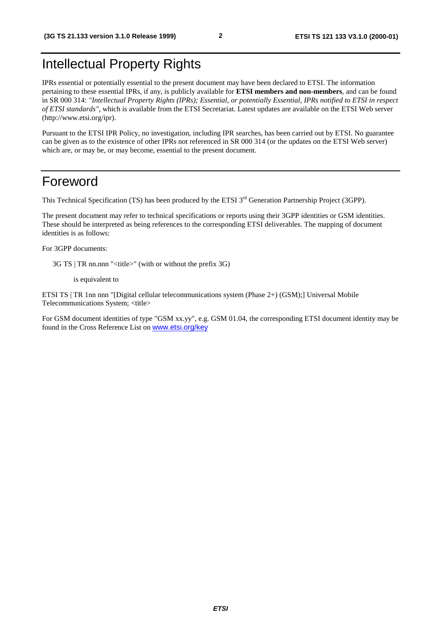# Intellectual Property Rights

IPRs essential or potentially essential to the present document may have been declared to ETSI. The information pertaining to these essential IPRs, if any, is publicly available for **ETSI members and non-members**, and can be found in SR 000 314: *"Intellectual Property Rights (IPRs); Essential, or potentially Essential, IPRs notified to ETSI in respect of ETSI standards"*, which is available from the ETSI Secretariat. Latest updates are available on the ETSI Web server (http://www.etsi.org/ipr).

Pursuant to the ETSI IPR Policy, no investigation, including IPR searches, has been carried out by ETSI. No guarantee can be given as to the existence of other IPRs not referenced in SR 000 314 (or the updates on the ETSI Web server) which are, or may be, or may become, essential to the present document.

## Foreword

This Technical Specification (TS) has been produced by the ETSI 3<sup>rd</sup> Generation Partnership Project (3GPP).

The present document may refer to technical specifications or reports using their 3GPP identities or GSM identities. These should be interpreted as being references to the corresponding ETSI deliverables. The mapping of document identities is as follows:

For 3GPP documents:

3G TS | TR nn.nnn "<title>" (with or without the prefix 3G)

is equivalent to

ETSI TS | TR 1nn nnn "[Digital cellular telecommunications system (Phase 2+) (GSM);] Universal Mobile Telecommunications System; <title>

For GSM document identities of type "GSM xx.yy", e.g. GSM 01.04, the corresponding ETSI document identity may be found in the Cross Reference List on [www.etsi.org/key](http://www.etsi.org/key)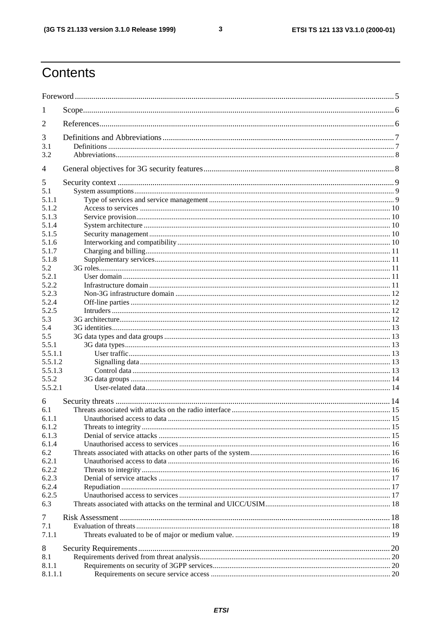$\overline{3}$ 

# Contents

| 1            |  |
|--------------|--|
| 2            |  |
| 3            |  |
| 3.1          |  |
| 3.2          |  |
| 4            |  |
| 5            |  |
| 5.1          |  |
| 5.1.1        |  |
| 5.1.2        |  |
| 5.1.3        |  |
| 5.1.4        |  |
| 5.1.5        |  |
| 5.1.6        |  |
| 5.1.7        |  |
| 5.1.8        |  |
| 5.2          |  |
| 5.2.1        |  |
| 5.2.2        |  |
| 5.2.3        |  |
| 5.2.4        |  |
| 5.2.5        |  |
| 5.3          |  |
| 5.4          |  |
| 5.5<br>5.5.1 |  |
| 5.5.1.1      |  |
| 5.5.1.2      |  |
| 5.5.1.3      |  |
| 5.5.2        |  |
| 5.5.2.1      |  |
| 6            |  |
| 6.1          |  |
| 6.1.1        |  |
| 6.1.2        |  |
| 6.1.3        |  |
| 6.1.4<br>6.2 |  |
| 6.2.1        |  |
| 6.2.2        |  |
| 6.2.3        |  |
| 6.2.4        |  |
| 6.2.5        |  |
| 6.3          |  |
|              |  |
| 7            |  |
| 7.1          |  |
| 7.1.1        |  |
| 8            |  |
| 8.1          |  |
| 8.1.1        |  |
| 8.1.1.1      |  |
|              |  |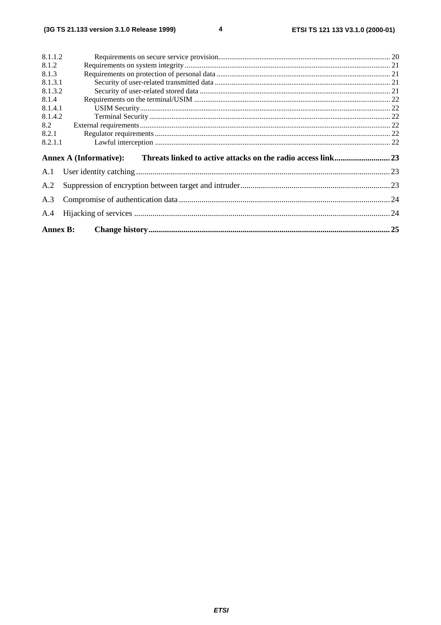$\overline{\mathbf{4}}$ 

| 8.1.1.2         |                               |     |  |  |
|-----------------|-------------------------------|-----|--|--|
| 8.1.2           |                               |     |  |  |
| 8.1.3           |                               |     |  |  |
| 8.1.3.1         |                               |     |  |  |
| 8.1.3.2         |                               |     |  |  |
| 8.1.4           |                               |     |  |  |
| 8.1.4.1         |                               |     |  |  |
| 8.1.4.2         |                               |     |  |  |
| 8.2             |                               |     |  |  |
| 8.2.1           |                               |     |  |  |
| 8.2.1.1         |                               |     |  |  |
|                 | <b>Annex A (Informative):</b> |     |  |  |
| A.1             |                               |     |  |  |
| A.2             |                               |     |  |  |
| A.3             |                               |     |  |  |
| A.4             |                               |     |  |  |
| <b>Annex B:</b> |                               | .25 |  |  |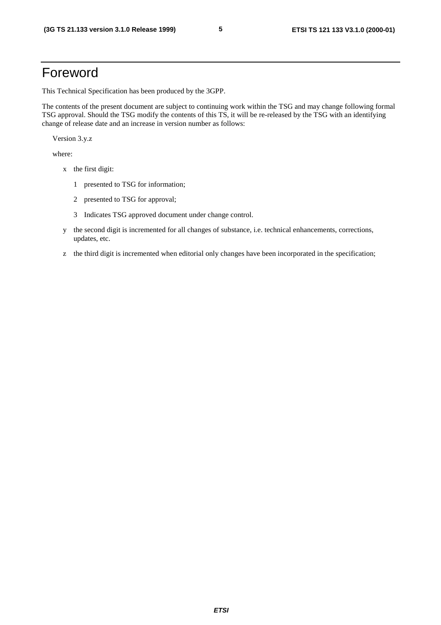# Foreword

This Technical Specification has been produced by the 3GPP.

The contents of the present document are subject to continuing work within the TSG and may change following formal TSG approval. Should the TSG modify the contents of this TS, it will be re-released by the TSG with an identifying change of release date and an increase in version number as follows: ETSI TS 121.133 version 3.1.0 Release 1999)<br> **ETSI TS 121 133 V3.1.0 (2000-01)**<br> **ETSI TS 21.133 version 3.1.0 Release 1999)**<br> **ETSI TS 21.133 version 3.1.0 Release 1999**<br> **ETSI Consider the present decrease in earlier con** 

Version 3.y.z

where:

- x the first digit:
	- 1 presented to TSG for information;
	- 2 presented to TSG for approval;
	- 3 Indicates TSG approved document under change control.
- y the second digit is incremented for all changes of substance, i.e. technical enhancements, corrections, updates, etc.
- z the third digit is incremented when editorial only changes have been incorporated in the specification;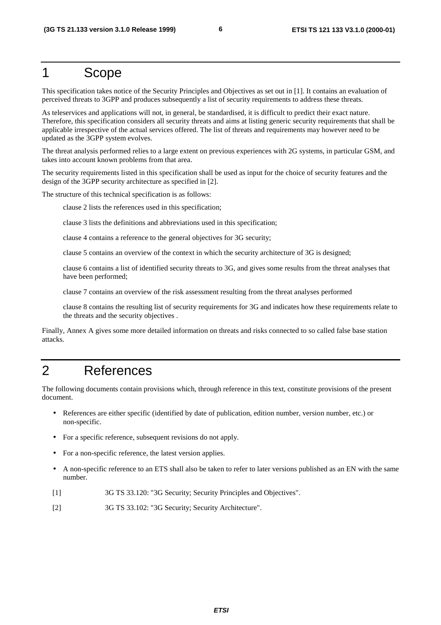## 1 Scope

This specification takes notice of the Security Principles and Objectives as set out in [1]. It contains an evaluation of perceived threats to 3GPP and produces subsequently a list of security requirements to address these threats.

As teleservices and applications will not, in general, be standardised, it is difficult to predict their exact nature. Therefore, this specification considers all security threats and aims at listing generic security requirements that shall be applicable irrespective of the actual services offered. The list of threats and requirements may however need to be updated as the 3GPP system evolves. ETSI TS 21.113 version 3.1.0 Release 1999)<br> **ETSI TS 21.113 version 3.1.0 Release 1999)**<br> **ETSI** TS CODO C<br> **ETSI TS 21.113 version of the Security Principles and Objective as set out in [1]. It contains an evaluation of<br>** 

The threat analysis performed relies to a large extent on previous experiences with 2G systems, in particular GSM, and takes into account known problems from that area.

The security requirements listed in this specification shall be used as input for the choice of security features and the design of the 3GPP security architecture as specified in [2].

The structure of this technical specification is as follows:

clause 2 lists the references used in this specification;

clause 3 lists the definitions and abbreviations used in this specification;

clause 4 contains a reference to the general objectives for 3G security;

clause 5 contains an overview of the context in which the security architecture of 3G is designed;

clause 6 contains a list of identified security threats to 3G, and gives some results from the threat analyses that have been performed;

clause 7 contains an overview of the risk assessment resulting from the threat analyses performed

clause 8 contains the resulting list of security requirements for 3G and indicates how these requirements relate to the threats and the security objectives .

Finally, Annex A gives some more detailed information on threats and risks connected to so called false base station attacks.

# 2 References

The following documents contain provisions which, through reference in this text, constitute provisions of the present document.

- References are either specific (identified by date of publication, edition number, version number, etc.) or non-specific.
- For a specific reference, subsequent revisions do not apply.
- For a non-specific reference, the latest version applies.
- A non-specific reference to an ETS shall also be taken to refer to later versions published as an EN with the same number.
- [1] 3G TS 33.120: "3G Security; Security Principles and Objectives".
- [2] 3G TS 33.102: "3G Security; Security Architecture".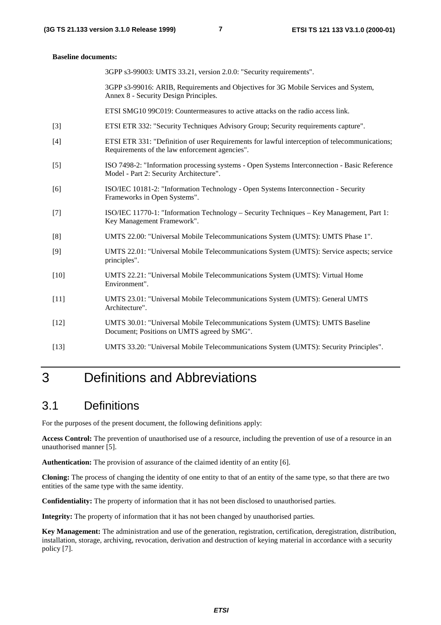#### **Baseline documents:**

3GPP s3-99003: UMTS 33.21, version 2.0.0: "Security requirements".

3GPP s3-99016: ARIB, Requirements and Objectives for 3G Mobile Services and System, Annex 8 - Security Design Principles.

ETSI SMG10 99C019: Countermeasures to active attacks on the radio access link.

- [3] ETSI ETR 332: "Security Techniques Advisory Group; Security requirements capture".
- [4] ETSI ETR 331: "Definition of user Requirements for lawful interception of telecommunications; Requirements of the law enforcement agencies".
- [5] ISO 7498-2: "Information processing systems Open Systems Interconnection Basic Reference Model - Part 2: Security Architecture".
- [6] ISO/IEC 10181-2: "Information Technology Open Systems Interconnection Security Frameworks in Open Systems".
- [7] ISO/IEC 11770-1: "Information Technology Security Techniques Key Management, Part 1: Key Management Framework".
- [8] UMTS 22.00: "Universal Mobile Telecommunications System (UMTS): UMTS Phase 1".
- [9] UMTS 22.01: "Universal Mobile Telecommunications System (UMTS): Service aspects; service principles".
- [10] UMTS 22.21: "Universal Mobile Telecommunications System (UMTS): Virtual Home Environment".
- [11] UMTS 23.01: "Universal Mobile Telecommunications System (UMTS): General UMTS Architecture".
- [12] UMTS 30.01: "Universal Mobile Telecommunications System (UMTS): UMTS Baseline Document; Positions on UMTS agreed by SMG".
- [13] UMTS 33.20: "Universal Mobile Telecommunications System (UMTS): Security Principles".

# 3 Definitions and Abbreviations

### 3.1 Definitions

For the purposes of the present document, the following definitions apply:

**Access Control:** The prevention of unauthorised use of a resource, including the prevention of use of a resource in an unauthorised manner [5].

**Authentication:** The provision of assurance of the claimed identity of an entity [6].

**Cloning:** The process of changing the identity of one entity to that of an entity of the same type, so that there are two entities of the same type with the same identity.

**Confidentiality:** The property of information that it has not been disclosed to unauthorised parties.

**Integrity:** The property of information that it has not been changed by unauthorised parties.

**Key Management:** The administration and use of the generation, registration, certification, deregistration, distribution, installation, storage, archiving, revocation, derivation and destruction of keying material in accordance with a security policy [7]. ETSI TS 21.133 version 3.1.0 Release 1999)<br> **ETSI TS 21.133 version 3.1.0 Release 1999)**<br> **ETSI CIVE SAME UNITS 21.2.** Probably distributed to the second system and systems<br>
(3G TS 2002) (1.0013 SAME UNITS 21.2.) explore t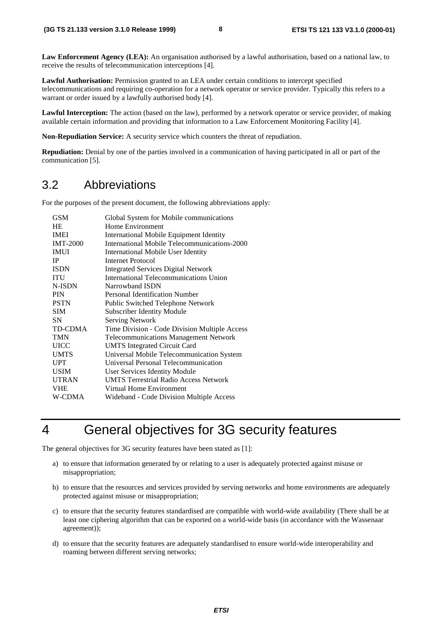### 3.2 Abbreviations

|                                                                 | (3G TS 21.133 version 3.1.0 Release 1999)                                                                                                                                                                                                                                                                                                                                                                                                                                                                                                                                                                                                                                                                                                                                                                                                                                                                                                                                                                                                                                                          | 8           | ETSI TS 121 133 V3.1.0 (2000-01)                                                                                                                                                                                                  |
|-----------------------------------------------------------------|----------------------------------------------------------------------------------------------------------------------------------------------------------------------------------------------------------------------------------------------------------------------------------------------------------------------------------------------------------------------------------------------------------------------------------------------------------------------------------------------------------------------------------------------------------------------------------------------------------------------------------------------------------------------------------------------------------------------------------------------------------------------------------------------------------------------------------------------------------------------------------------------------------------------------------------------------------------------------------------------------------------------------------------------------------------------------------------------------|-------------|-----------------------------------------------------------------------------------------------------------------------------------------------------------------------------------------------------------------------------------|
|                                                                 | eceive the results of telecommunication interceptions [4].                                                                                                                                                                                                                                                                                                                                                                                                                                                                                                                                                                                                                                                                                                                                                                                                                                                                                                                                                                                                                                         |             | Law Enforcement Agency (LEA): An organisation authorised by a lawful authorisation, based on a national law, to                                                                                                                   |
|                                                                 | Lawful Authorisation: Permission granted to an LEA under certain conditions to intercept specified<br>warrant or order issued by a lawfully authorised body [4].                                                                                                                                                                                                                                                                                                                                                                                                                                                                                                                                                                                                                                                                                                                                                                                                                                                                                                                                   |             | elecommunications and requiring co-operation for a network operator or service provider. Typically this refers to a                                                                                                               |
|                                                                 | ivallable certain information and providing that information to a Law Enforcement Monitoring Facility [4].                                                                                                                                                                                                                                                                                                                                                                                                                                                                                                                                                                                                                                                                                                                                                                                                                                                                                                                                                                                         |             | Lawful Interception: The action (based on the law), performed by a network operator or service provider, of making                                                                                                                |
|                                                                 | Non-Repudiation Service: A security service which counters the threat of repudiation.                                                                                                                                                                                                                                                                                                                                                                                                                                                                                                                                                                                                                                                                                                                                                                                                                                                                                                                                                                                                              |             |                                                                                                                                                                                                                                   |
|                                                                 | communication [5].                                                                                                                                                                                                                                                                                                                                                                                                                                                                                                                                                                                                                                                                                                                                                                                                                                                                                                                                                                                                                                                                                 |             | <b>Repudiation:</b> Denial by one of the parties involved in a communication of having participated in all or part of the                                                                                                         |
| 3.2                                                             | Abbreviations                                                                                                                                                                                                                                                                                                                                                                                                                                                                                                                                                                                                                                                                                                                                                                                                                                                                                                                                                                                                                                                                                      |             |                                                                                                                                                                                                                                   |
|                                                                 | For the purposes of the present document, the following abbreviations apply:                                                                                                                                                                                                                                                                                                                                                                                                                                                                                                                                                                                                                                                                                                                                                                                                                                                                                                                                                                                                                       |             |                                                                                                                                                                                                                                   |
| HE<br>IP<br>ITU<br><b>PIN</b><br><b>SIM</b><br>SN<br><b>UPT</b> | <b>GSM</b><br>Global System for Mobile communications<br>Home Environment<br><b>IMEI</b><br><b>International Mobile Equipment Identity</b><br>International Mobile Telecommunications-2000<br><b>IMT-2000</b><br><b>IMUI</b><br>International Mobile User Identity<br><b>Internet Protocol</b><br><b>Integrated Services Digital Network</b><br><b>ISDN</b><br>International Telecommunications Union<br>Narrowband ISDN<br>N-ISDN<br>Personal Identification Number<br><b>PSTN</b><br>Public Switched Telephone Network<br>Subscriber Identity Module<br><b>Serving Network</b><br>TD-CDMA<br>Time Division - Code Division Multiple Access<br><b>Telecommunications Management Network</b><br><b>TMN</b><br><b>UMTS</b> Integrated Circuit Card<br><b>UICC</b><br><b>UMTS</b><br>Universal Mobile Telecommunication System<br><b>Universal Personal Telecommunication</b><br><b>USIM</b><br><b>User Services Identity Module</b><br><b>UMTS Terrestrial Radio Access Network</b><br><b>UTRAN</b><br>Virtual Home Environment<br><b>VHE</b><br>W-CDMA<br>Wideband - Code Division Multiple Access |             |                                                                                                                                                                                                                                   |
| 4                                                               | General objectives for 3G security features                                                                                                                                                                                                                                                                                                                                                                                                                                                                                                                                                                                                                                                                                                                                                                                                                                                                                                                                                                                                                                                        |             |                                                                                                                                                                                                                                   |
|                                                                 | The general objectives for 3G security features have been stated as [1]:                                                                                                                                                                                                                                                                                                                                                                                                                                                                                                                                                                                                                                                                                                                                                                                                                                                                                                                                                                                                                           |             |                                                                                                                                                                                                                                   |
|                                                                 | a) to ensure that information generated by or relating to a user is adequately protected against misuse or<br>misappropriation;                                                                                                                                                                                                                                                                                                                                                                                                                                                                                                                                                                                                                                                                                                                                                                                                                                                                                                                                                                    |             |                                                                                                                                                                                                                                   |
|                                                                 | protected against misuse or misappropriation;                                                                                                                                                                                                                                                                                                                                                                                                                                                                                                                                                                                                                                                                                                                                                                                                                                                                                                                                                                                                                                                      |             | b) to ensure that the resources and services provided by serving networks and home environments are adequately                                                                                                                    |
|                                                                 | agreement));                                                                                                                                                                                                                                                                                                                                                                                                                                                                                                                                                                                                                                                                                                                                                                                                                                                                                                                                                                                                                                                                                       |             | c) to ensure that the security features standardised are compatible with world-wide availability (There shall be at<br>least one ciphering algorithm that can be exported on a world-wide basis (in accordance with the Wassenaar |
|                                                                 | d) to ensure that the security features are adequately standardised to ensure world-wide interoperability and<br>roaming between different serving networks;                                                                                                                                                                                                                                                                                                                                                                                                                                                                                                                                                                                                                                                                                                                                                                                                                                                                                                                                       |             |                                                                                                                                                                                                                                   |
|                                                                 |                                                                                                                                                                                                                                                                                                                                                                                                                                                                                                                                                                                                                                                                                                                                                                                                                                                                                                                                                                                                                                                                                                    | <b>ETSI</b> |                                                                                                                                                                                                                                   |
|                                                                 |                                                                                                                                                                                                                                                                                                                                                                                                                                                                                                                                                                                                                                                                                                                                                                                                                                                                                                                                                                                                                                                                                                    |             |                                                                                                                                                                                                                                   |

# 4 General objectives for 3G security features

- a) to ensure that information generated by or relating to a user is adequately protected against misuse or misappropriation;
- b) to ensure that the resources and services provided by serving networks and home environments are adequately protected against misuse or misappropriation;
- c) to ensure that the security features standardised are compatible with world-wide availability (There shall be at least one ciphering algorithm that can be exported on a world-wide basis (in accordance with the Wassenaar agreement));
- d) to ensure that the security features are adequately standardised to ensure world-wide interoperability and roaming between different serving networks;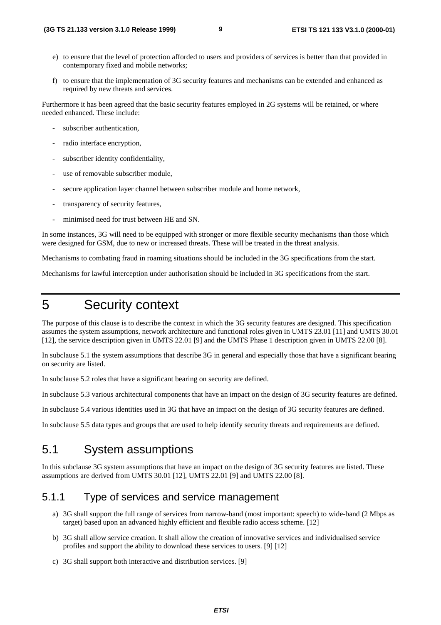- e) to ensure that the level of protection afforded to users and providers of services is better than that provided in contemporary fixed and mobile networks;
- f) to ensure that the implementation of 3G security features and mechanisms can be extended and enhanced as required by new threats and services.

Furthermore it has been agreed that the basic security features employed in 2G systems will be retained, or where needed enhanced. These include:

- subscriber authentication,
- radio interface encryption,
- subscriber identity confidentiality,
- use of removable subscriber module,
- secure application layer channel between subscriber module and home network,
- transparency of security features.
- minimised need for trust between HE and SN.

In some instances, 3G will need to be equipped with stronger or more flexible security mechanisms than those which were designed for GSM, due to new or increased threats. These will be treated in the threat analysis.

Mechanisms to combating fraud in roaming situations should be included in the 3G specifications from the start.

Mechanisms for lawful interception under authorisation should be included in 3G specifications from the start.

# 5 Security context

The purpose of this clause is to describe the context in which the 3G security features are designed. This specification assumes the system assumptions, network architecture and functional roles given in UMTS 23.01 [11] and UMTS 30.01 [12], the service description given in UMTS 22.01 [9] and the UMTS Phase 1 description given in UMTS 22.00 [8]. **ETSI TS 22.1.133 version 3.1.0 Release 1999) 3**<br> **ETSI TS 22.113 version 3.1.0 Release 1999)**<br>
C convergingly first bast of process in differentiation of Developmental providence of services a better must be provident i

In subclause 5.1 the system assumptions that describe 3G in general and especially those that have a significant bearing on security are listed.

In subclause 5.2 roles that have a significant bearing on security are defined.

In subclause 5.3 various architectural components that have an impact on the design of 3G security features are defined.

In subclause 5.4 various identities used in 3G that have an impact on the design of 3G security features are defined.

In subclause 5.5 data types and groups that are used to help identify security threats and requirements are defined.

## 5.1 System assumptions

In this subclause 3G system assumptions that have an impact on the design of 3G security features are listed. These assumptions are derived from UMTS 30.01 [12], UMTS 22.01 [9] and UMTS 22.00 [8].

### 5.1.1 Type of services and service management

- a) 3G shall support the full range of services from narrow-band (most important: speech) to wide-band (2 Mbps as target) based upon an advanced highly efficient and flexible radio access scheme. [12]
- b) 3G shall allow service creation. It shall allow the creation of innovative services and individualised service profiles and support the ability to download these services to users. [9] [12]
- c) 3G shall support both interactive and distribution services. [9]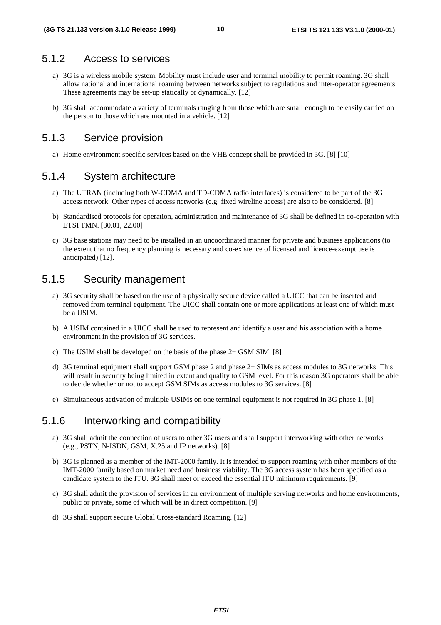### 5.1.2 Access to services

- a) 3G is a wireless mobile system. Mobility must include user and terminal mobility to permit roaming. 3G shall allow national and international roaming between networks subject to regulations and inter-operator agreements. These agreements may be set-up statically or dynamically. [12] **ETSI 21.133 version 3.1.0 Release 1999)**<br> **ETSI 153 121 133 V3.1.0 (2000-01)**<br> **CTS**<br> **ATTLE 168 COSS (COSS)**<br> **CTSI 169 COSS** (COSS)<br> **CTSI 169 COSS** (COSS)<br> **CTSI 169 COSS** (COSS)<br> **CTSI 169 COSS** (COSS)<br> **CTS** (COSS) C
	- b) 3G shall accommodate a variety of terminals ranging from those which are small enough to be easily carried on the person to those which are mounted in a vehicle. [12]

### 5.1.3 Service provision

a) Home environment specific services based on the VHE concept shall be provided in 3G. [8] [10]

### 5.1.4 System architecture

- a) The UTRAN (including both W-CDMA and TD-CDMA radio interfaces) is considered to be part of the 3G access network. Other types of access networks (e.g. fixed wireline access) are also to be considered. [8]
- b) Standardised protocols for operation, administration and maintenance of 3G shall be defined in co-operation with ETSI TMN. [30.01, 22.00]
- c) 3G base stations may need to be installed in an uncoordinated manner for private and business applications (to the extent that no frequency planning is necessary and co-existence of licensed and licence-exempt use is anticipated) [12].

### 5.1.5 Security management

- a) 3G security shall be based on the use of a physically secure device called a UICC that can be inserted and removed from terminal equipment. The UICC shall contain one or more applications at least one of which must be a USIM.
- b) A USIM contained in a UICC shall be used to represent and identify a user and his association with a home environment in the provision of 3G services.
- c) The USIM shall be developed on the basis of the phase 2+ GSM SIM. [8]
- d) 3G terminal equipment shall support GSM phase 2 and phase 2+ SIMs as access modules to 3G networks. This will result in security being limited in extent and quality to GSM level. For this reason 3G operators shall be able to decide whether or not to accept GSM SIMs as access modules to 3G services. [8]
- e) Simultaneous activation of multiple USIMs on one terminal equipment is not required in 3G phase 1. [8]

### 5.1.6 Interworking and compatibility

- a) 3G shall admit the connection of users to other 3G users and shall support interworking with other networks (e.g., PSTN, N-ISDN, GSM, X.25 and IP networks). [8]
- b) 3G is planned as a member of the IMT-2000 family. It is intended to support roaming with other members of the IMT-2000 family based on market need and business viability. The 3G access system has been specified as a candidate system to the ITU. 3G shall meet or exceed the essential ITU minimum requirements. [9]
- c) 3G shall admit the provision of services in an environment of multiple serving networks and home environments, public or private, some of which will be in direct competition. [9]
- d) 3G shall support secure Global Cross-standard Roaming. [12]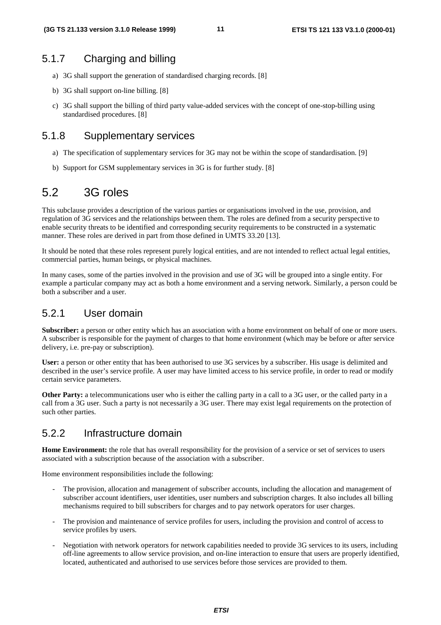### 5.1.7 Charging and billing

- a) 3G shall support the generation of standardised charging records. [8]
- b) 3G shall support on-line billing. [8]
- c) 3G shall support the billing of third party value-added services with the concept of one-stop-billing using standardised procedures. [8]

### 5.1.8 Supplementary services

- a) The specification of supplementary services for 3G may not be within the scope of standardisation. [9]
- b) Support for GSM supplementary services in 3G is for further study. [8]

# 5.2 3G roles

This subclause provides a description of the various parties or organisations involved in the use, provision, and regulation of 3G services and the relationships between them. The roles are defined from a security perspective to enable security threats to be identified and corresponding security requirements to be constructed in a systematic manner. These roles are derived in part from those defined in UMTS 33.20 [13]. **ETSI 133 version 3.1.0 Release 1999) ETS**<br> **ETSI 153 12.133 version 3.1.0 Release 1999) ETSI**<br> **A**  $\sim$  **3.4.3 and support the given and considered charging meants [8]<br>
(b) <b>34 shall support the decision and considere** 

It should be noted that these roles represent purely logical entities, and are not intended to reflect actual legal entities, commercial parties, human beings, or physical machines.

In many cases, some of the parties involved in the provision and use of 3G will be grouped into a single entity. For example a particular company may act as both a home environment and a serving network. Similarly, a person could be both a subscriber and a user.

### 5.2.1 User domain

**Subscriber:** a person or other entity which has an association with a home environment on behalf of one or more users. A subscriber is responsible for the payment of charges to that home environment (which may be before or after service delivery, i.e. pre-pay or subscription).

**User:** a person or other entity that has been authorised to use 3G services by a subscriber. His usage is delimited and described in the user's service profile. A user may have limited access to his service profile, in order to read or modify certain service parameters.

**Other Party:** a telecommunications user who is either the calling party in a call to a 3G user, or the called party in a call from a 3G user. Such a party is not necessarily a 3G user. There may exist legal requirements on the protection of such other parties.

### 5.2.2 Infrastructure domain

**Home Environment:** the role that has overall responsibility for the provision of a service or set of services to users associated with a subscription because of the association with a subscriber.

Home environment responsibilities include the following:

- The provision, allocation and management of subscriber accounts, including the allocation and management of subscriber account identifiers, user identities, user numbers and subscription charges. It also includes all billing mechanisms required to bill subscribers for charges and to pay network operators for user charges.
- The provision and maintenance of service profiles for users, including the provision and control of access to service profiles by users.
- Negotiation with network operators for network capabilities needed to provide 3G services to its users, including off-line agreements to allow service provision, and on-line interaction to ensure that users are properly identified, located, authenticated and authorised to use services before those services are provided to them.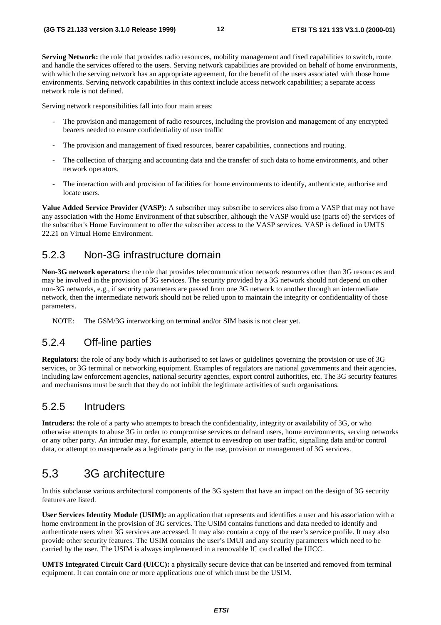**Serving Network:** the role that provides radio resources, mobility management and fixed capabilities to switch, route and handle the services offered to the users. Serving network capabilities are provided on behalf of home environments, with which the serving network has an appropriate agreement, for the benefit of the users associated with those home environments. Serving network capabilities in this context include access network capabilities; a separate access network role is not defined.

Serving network responsibilities fall into four main areas:

- The provision and management of radio resources, including the provision and management of any encrypted bearers needed to ensure confidentiality of user traffic
- The provision and management of fixed resources, bearer capabilities, connections and routing.
- The collection of charging and accounting data and the transfer of such data to home environments, and other network operators.
- The interaction with and provision of facilities for home environments to identify, authenticate, authorise and locate users.

**Value Added Service Provider (VASP):** A subscriber may subscribe to services also from a VASP that may not have any association with the Home Environment of that subscriber, although the VASP would use (parts of) the services of the subscriber's Home Environment to offer the subscriber access to the VASP services. VASP is defined in UMTS 22.21 on Virtual Home Environment.

### 5.2.3 Non-3G infrastructure domain

**Non-3G network operators:** the role that provides telecommunication network resources other than 3G resources and may be involved in the provision of 3G services. The security provided by a 3G network should not depend on other non-3G networks, e.g., if security parameters are passed from one 3G network to another through an intermediate network, then the intermediate network should not be relied upon to maintain the integrity or confidentiality of those parameters. ETSI TS 21.113 version 3.1.0 Release 1999)<br>
Series Perrometeric records release 1999)<br>
Series Perrometeric records release to the content of the content of experiments of the content of the content of the content of the co

NOTE: The GSM/3G interworking on terminal and/or SIM basis is not clear yet.

### 5.2.4 Off-line parties

**Regulators:** the role of any body which is authorised to set laws or guidelines governing the provision or use of 3G services, or 3G terminal or networking equipment. Examples of regulators are national governments and their agencies, including law enforcement agencies, national security agencies, export control authorities, etc. The 3G security features and mechanisms must be such that they do not inhibit the legitimate activities of such organisations.

### 5.2.5 Intruders

**Intruders:** the role of a party who attempts to breach the confidentiality, integrity or availability of 3G, or who otherwise attempts to abuse 3G in order to compromise services or defraud users, home environments, serving networks or any other party. An intruder may, for example, attempt to eavesdrop on user traffic, signalling data and/or control data, or attempt to masquerade as a legitimate party in the use, provision or management of 3G services.

# 5.3 3G architecture

In this subclause various architectural components of the 3G system that have an impact on the design of 3G security features are listed.

**User Services Identity Module (USIM):** an application that represents and identifies a user and his association with a home environment in the provision of 3G services. The USIM contains functions and data needed to identify and authenticate users when 3G services are accessed. It may also contain a copy of the user's service profile. It may also provide other security features. The USIM contains the user's IMUI and any security parameters which need to be carried by the user. The USIM is always implemented in a removable IC card called the UICC.

**UMTS Integrated Circuit Card (UICC):** a physically secure device that can be inserted and removed from terminal equipment. It can contain one or more applications one of which must be the USIM.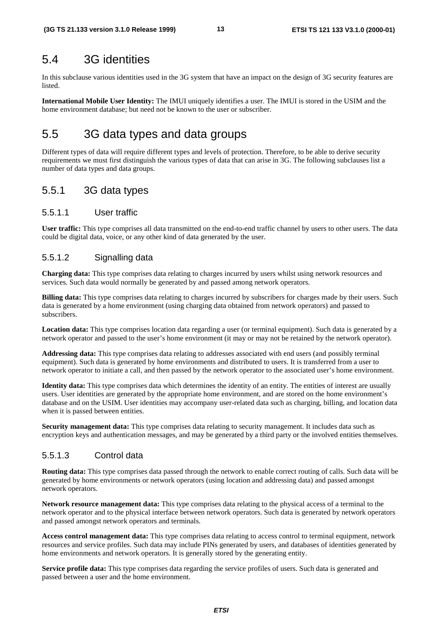## 5.4 3G identities

In this subclause various identities used in the 3G system that have an impact on the design of 3G security features are **listed** 

**International Mobile User Identity:** The IMUI uniquely identifies a user. The IMUI is stored in the USIM and the home environment database; but need not be known to the user or subscriber.

# 5.5 3G data types and data groups

Different types of data will require different types and levels of protection. Therefore, to be able to derive security requirements we must first distinguish the various types of data that can arise in 3G. The following subclauses list a number of data types and data groups.

### 5.5.1 3G data types

### 5.5.1.1 User traffic

**User traffic:** This type comprises all data transmitted on the end-to-end traffic channel by users to other users. The data could be digital data, voice, or any other kind of data generated by the user.

### 5.5.1.2 Signalling data

**Charging data:** This type comprises data relating to charges incurred by users whilst using network resources and services. Such data would normally be generated by and passed among network operators.

**Billing data:** This type comprises data relating to charges incurred by subscribers for charges made by their users. Such data is generated by a home environment (using charging data obtained from network operators) and passed to subscribers.

**Location data:** This type comprises location data regarding a user (or terminal equipment). Such data is generated by a network operator and passed to the user's home environment (it may or may not be retained by the network operator).

**Addressing data:** This type comprises data relating to addresses associated with end users (and possibly terminal equipment). Such data is generated by home environments and distributed to users. It is transferred from a user to network operator to initiate a call, and then passed by the network operator to the associated user's home environment.

**Identity data:** This type comprises data which determines the identity of an entity. The entities of interest are usually users. User identities are generated by the appropriate home environment, and are stored on the home environment's database and on the USIM. User identities may accompany user-related data such as charging, billing, and location data when it is passed between entities. ETSI TS 121.133 version 3.1.0 Release 1999)<br> **ETSI TS 121.133 version 3.1.0 Release 1999)**<br> **ETSI TS 42.133 version series and in the Si operary that have an impact or the Shaip of 3T versing found to<br>
be the method Madel** 

**Security management data:** This type comprises data relating to security management. It includes data such as encryption keys and authentication messages, and may be generated by a third party or the involved entities themselves.

### 5.5.1.3 Control data

**Routing data:** This type comprises data passed through the network to enable correct routing of calls. Such data will be generated by home environments or network operators (using location and addressing data) and passed amongst network operators.

**Network resource management data:** This type comprises data relating to the physical access of a terminal to the network operator and to the physical interface between network operators. Such data is generated by network operators and passed amongst network operators and terminals.

**Access control management data:** This type comprises data relating to access control to terminal equipment, network resources and service profiles. Such data may include PINs generated by users, and databases of identities generated by home environments and network operators. It is generally stored by the generating entity.

**Service profile data:** This type comprises data regarding the service profiles of users. Such data is generated and passed between a user and the home environment.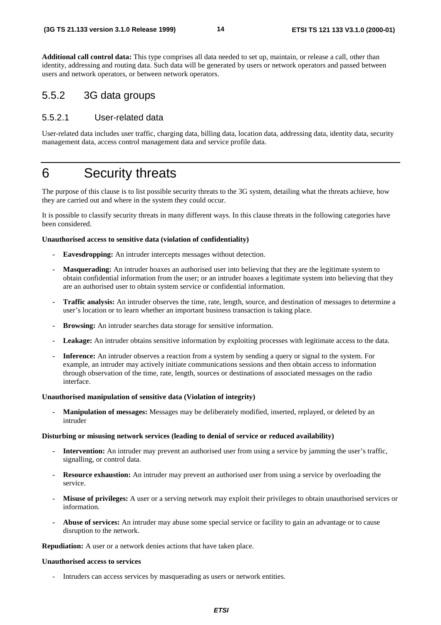**Additional call control data:** This type comprises all data needed to set up, maintain, or release a call, other than identity, addressing and routing data. Such data will be generated by users or network operators and passed between users and network operators, or between network operators.

### 5.5.2 3G data groups

### 5.5.2.1 User-related data

User-related data includes user traffic, charging data, billing data, location data, addressing data, identity data, security management data, access control management data and service profile data.

# 6 Security threats

The purpose of this clause is to list possible security threats to the 3G system, detailing what the threats achieve, how they are carried out and where in the system they could occur.

It is possible to classify security threats in many different ways. In this clause threats in the following categories have been considered.

#### **Unauthorised access to sensitive data (violation of confidentiality)**

- **Eavesdropping:** An intruder intercepts messages without detection.
- **Masquerading:** An intruder hoaxes an authorised user into believing that they are the legitimate system to obtain confidential information from the user; or an intruder hoaxes a legitimate system into believing that they are an authorised user to obtain system service or confidential information.
- **Traffic analysis:** An intruder observes the time, rate, length, source, and destination of messages to determine a user's location or to learn whether an important business transaction is taking place.
- **Browsing:** An intruder searches data storage for sensitive information.
- **Leakage:** An intruder obtains sensitive information by exploiting processes with legitimate access to the data.
- **Inference:** An intruder observes a reaction from a system by sending a query or signal to the system. For example, an intruder may actively initiate communications sessions and then obtain access to information through observation of the time, rate, length, sources or destinations of associated messages on the radio interface. ETSI TS 21.133 version 3.1.0 Release 1999)<br> **(4G TS 21.133 version 4.1.0** Release 1999)<br> **Additional calculation and calculation and calculation and calculation and calculation and calculation and calculation and calculati**

#### **Unauthorised manipulation of sensitive data (Violation of integrity)**

**- Manipulation of messages:** Messages may be deliberately modified, inserted, replayed, or deleted by an intruder

#### **Disturbing or misusing network services (leading to denial of service or reduced availability)**

- **Intervention:** An intruder may prevent an authorised user from using a service by jamming the user's traffic, signalling, or control data.
- **Resource exhaustion:** An intruder may prevent an authorised user from using a service by overloading the service.
- **Misuse of privileges:** A user or a serving network may exploit their privileges to obtain unauthorised services or information.
- **Abuse of services:** An intruder may abuse some special service or facility to gain an advantage or to cause disruption to the network.

**Repudiation:** A user or a network denies actions that have taken place.

#### **Unauthorised access to services**

- Intruders can access services by masquerading as users or network entities.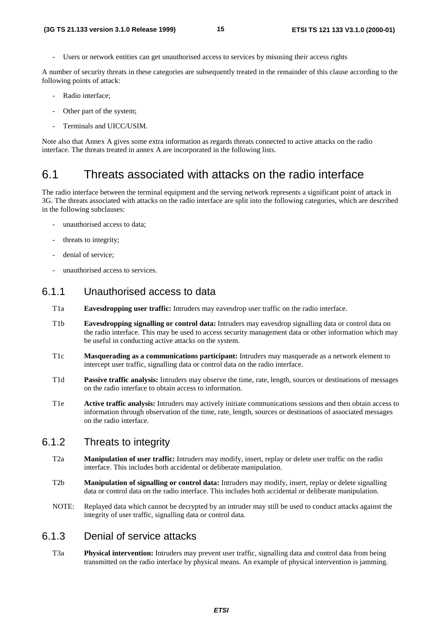Users or network entities can get unauthorised access to services by misusing their access rights

A number of security threats in these categories are subsequently treated in the remainder of this clause according to the following points of attack:

- Radio interface:
- Other part of the system;
- Terminals and UICC/USIM.

Note also that Annex A gives some extra information as regards threats connected to active attacks on the radio interface. The threats treated in annex A are incorporated in the following lists.

### 6.1 Threats associated with attacks on the radio interface

The radio interface between the terminal equipment and the serving network represents a significant point of attack in 3G. The threats associated with attacks on the radio interface are split into the following categories, which are described in the following subclauses: **ETSI ETSI** CHO CONDITION CONDITION CONDITION CONDITION CONDITION CONDITION CONDITION CONDITION CONDITION CONDITION CONDITION CONDITION CONDITION CONDITION CONDITION CONDITION CONDITION CONDITION CONDITION CONDITION COND

- unauthorised access to data;
- threats to integrity;
- denial of service;
- unauthorised access to services.

### 6.1.1 Unauthorised access to data

- T1a **Eavesdropping user traffic:** Intruders may eavesdrop user traffic on the radio interface.
- T1b **Eavesdropping signalling or control data:** Intruders may eavesdrop signalling data or control data on the radio interface. This may be used to access security management data or other information which may be useful in conducting active attacks on the system.
- T1c **Masquerading as a communications participant:** Intruders may masquerade as a network element to intercept user traffic, signalling data or control data on the radio interface.
- T1d **Passive traffic analysis:** Intruders may observe the time, rate, length, sources or destinations of messages on the radio interface to obtain access to information.
- T1e **Active traffic analysis:** Intruders may actively initiate communications sessions and then obtain access to information through observation of the time, rate, length, sources or destinations of associated messages on the radio interface.

### 6.1.2 Threats to integrity

- T2a **Manipulation of user traffic:** Intruders may modify, insert, replay or delete user traffic on the radio interface. This includes both accidental or deliberate manipulation.
- T2b **Manipulation of signalling or control data:** Intruders may modify, insert, replay or delete signalling data or control data on the radio interface. This includes both accidental or deliberate manipulation.
- NOTE: Replayed data which cannot be decrypted by an intruder may still be used to conduct attacks against the integrity of user traffic, signalling data or control data.

### 6.1.3 Denial of service attacks

T3a **Physical intervention:** Intruders may prevent user traffic, signalling data and control data from being transmitted on the radio interface by physical means. An example of physical intervention is jamming.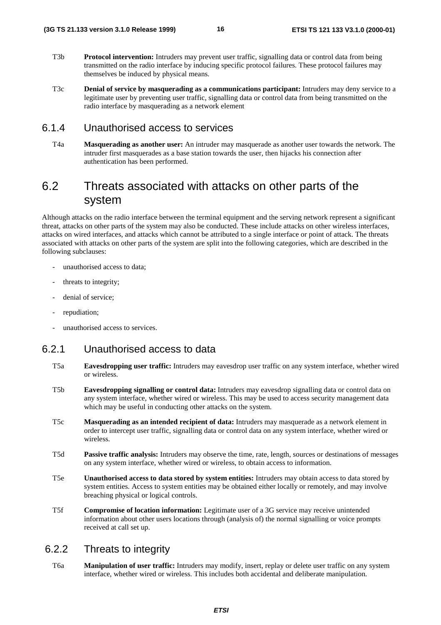- T3b **Protocol intervention:** Intruders may prevent user traffic, signalling data or control data from being transmitted on the radio interface by inducing specific protocol failures. These protocol failures may themselves be induced by physical means.
- T3c **Denial of service by masquerading as a communications participant:** Intruders may deny service to a legitimate user by preventing user traffic, signalling data or control data from being transmitted on the radio interface by masquerading as a network element

### 6.1.4 Unauthorised access to services

T4a **Masquerading as another user:** An intruder may masquerade as another user towards the network. The intruder first masquerades as a base station towards the user, then hijacks his connection after authentication has been performed.

## 6.2 Threats associated with attacks on other parts of the system

Although attacks on the radio interface between the terminal equipment and the serving network represent a significant threat, attacks on other parts of the system may also be conducted. These include attacks on other wireless interfaces, attacks on wired interfaces, and attacks which cannot be attributed to a single interface or point of attack. The threats associated with attacks on other parts of the system are split into the following categories, which are described in the following subclauses: ETSI **ETSI (3G TS 21.133 version 3.1.0 Release 1999) ETSI TS 121 133 V3.1.0 (2000-01)**

- unauthorised access to data:
- threats to integrity;
- denial of service:
- repudiation:
- unauthorised access to services.

### 6.2.1 Unauthorised access to data

- T5a **Eavesdropping user traffic:** Intruders may eavesdrop user traffic on any system interface, whether wired or wireless.
- T5b **Eavesdropping signalling or control data:** Intruders may eavesdrop signalling data or control data on any system interface, whether wired or wireless. This may be used to access security management data which may be useful in conducting other attacks on the system.
- T5c **Masquerading as an intended recipient of data:** Intruders may masquerade as a network element in order to intercept user traffic, signalling data or control data on any system interface, whether wired or wireless.
- T5d **Passive traffic analysis:** Intruders may observe the time, rate, length, sources or destinations of messages on any system interface, whether wired or wireless, to obtain access to information.
- T5e **Unauthorised access to data stored by system entities:** Intruders may obtain access to data stored by system entities. Access to system entities may be obtained either locally or remotely, and may involve breaching physical or logical controls.
- T5f **Compromise of location information:** Legitimate user of a 3G service may receive unintended information about other users locations through (analysis of) the normal signalling or voice prompts received at call set up.

### 6.2.2 Threats to integrity

T6a **Manipulation of user traffic:** Intruders may modify, insert, replay or delete user traffic on any system interface, whether wired or wireless. This includes both accidental and deliberate manipulation.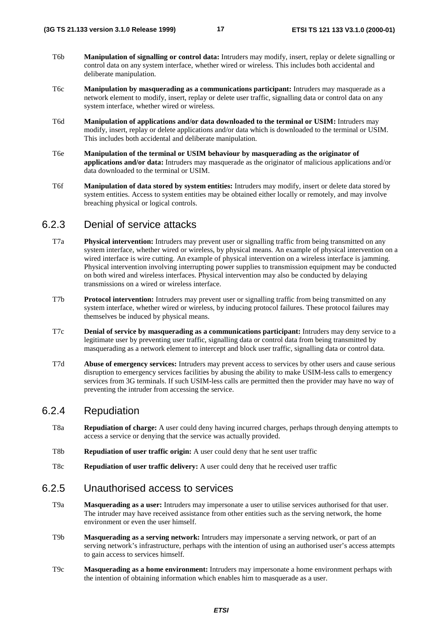- T6b **Manipulation of signalling or control data:** Intruders may modify, insert, replay or delete signalling or control data on any system interface, whether wired or wireless. This includes both accidental and deliberate manipulation.
- T6c **Manipulation by masquerading as a communications participant:** Intruders may masquerade as a network element to modify, insert, replay or delete user traffic, signalling data or control data on any system interface, whether wired or wireless.
- T6d **Manipulation of applications and/or data downloaded to the terminal or USIM:** Intruders may modify, insert, replay or delete applications and/or data which is downloaded to the terminal or USIM. This includes both accidental and deliberate manipulation.
- T6e **Manipulation of the terminal or USIM behaviour by masquerading as the originator of applications and/or data:** Intruders may masquerade as the originator of malicious applications and/or data downloaded to the terminal or USIM.
- T6f **Manipulation of data stored by system entities:** Intruders may modify, insert or delete data stored by system entities. Access to system entities may be obtained either locally or remotely, and may involve breaching physical or logical controls.

### 6.2.3 Denial of service attacks

- T7a **Physical intervention:** Intruders may prevent user or signalling traffic from being transmitted on any system interface, whether wired or wireless, by physical means. An example of physical intervention on a wired interface is wire cutting. An example of physical intervention on a wireless interface is jamming. Physical intervention involving interrupting power supplies to transmission equipment may be conducted on both wired and wireless interfaces. Physical intervention may also be conducted by delaying transmissions on a wired or wireless interface. ETSI TS 21.133 version 3.1.0 Release 1999)<br>
T/3<br>
16 Manipulation of signaling or control duta Eoristic responsests, such as the control of the signalism<br>
control due an any youten interface, shelter wireles or investor. Th
	- T7b **Protocol intervention:** Intruders may prevent user or signalling traffic from being transmitted on any system interface, whether wired or wireless, by inducing protocol failures. These protocol failures may themselves be induced by physical means.
	- T7c **Denial of service by masquerading as a communications participant:** Intruders may deny service to a legitimate user by preventing user traffic, signalling data or control data from being transmitted by masquerading as a network element to intercept and block user traffic, signalling data or control data.
	- T7d **Abuse of emergency services:** Intruders may prevent access to services by other users and cause serious disruption to emergency services facilities by abusing the ability to make USIM-less calls to emergency services from 3G terminals. If such USIM-less calls are permitted then the provider may have no way of preventing the intruder from accessing the service.

### 6.2.4 Repudiation

- T8a **Repudiation of charge:** A user could deny having incurred charges, perhaps through denying attempts to access a service or denying that the service was actually provided.
- T8b **Repudiation of user traffic origin:** A user could deny that he sent user traffic
- T8c **Repudiation of user traffic delivery:** A user could deny that he received user traffic

### 6.2.5 Unauthorised access to services

- T9a **Masquerading as a user:** Intruders may impersonate a user to utilise services authorised for that user. The intruder may have received assistance from other entities such as the serving network, the home environment or even the user himself.
- T9b **Masquerading as a serving network:** Intruders may impersonate a serving network, or part of an serving network's infrastructure, perhaps with the intention of using an authorised user's access attempts to gain access to services himself.
- T9c **Masquerading as a home environment:** Intruders may impersonate a home environment perhaps with the intention of obtaining information which enables him to masquerade as a user.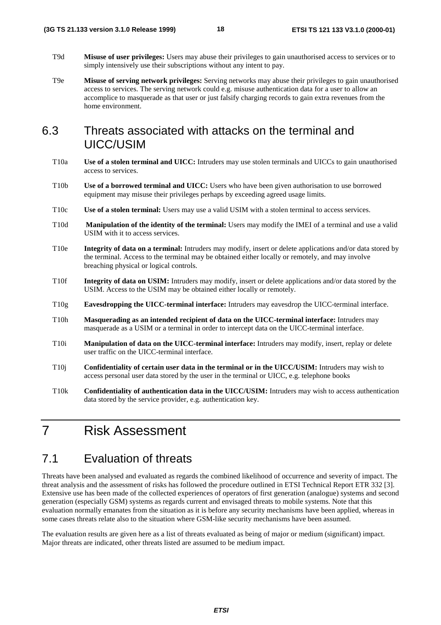- T9d **Misuse of user privileges:** Users may abuse their privileges to gain unauthorised access to services or to simply intensively use their subscriptions without any intent to pay.
- T9e **Misuse of serving network privileges:** Serving networks may abuse their privileges to gain unauthorised access to services. The serving network could e.g. misuse authentication data for a user to allow an accomplice to masquerade as that user or just falsify charging records to gain extra revenues from the home environment.

## 6.3 Threats associated with attacks on the terminal and UICC/USIM

- T10a **Use of a stolen terminal and UICC:** Intruders may use stolen terminals and UICCs to gain unauthorised access to services.
- T10b **Use of a borrowed terminal and UICC:** Users who have been given authorisation to use borrowed equipment may misuse their privileges perhaps by exceeding agreed usage limits.
- T10c **Use of a stolen terminal:** Users may use a valid USIM with a stolen terminal to access services.
- T10d **Manipulation of the identity of the terminal:** Users may modify the IMEI of a terminal and use a valid USIM with it to access services.
- T10e **Integrity of data on a terminal:** Intruders may modify, insert or delete applications and/or data stored by the terminal. Access to the terminal may be obtained either locally or remotely, and may involve breaching physical or logical controls.
- T10f **Integrity of data on USIM:** Intruders may modify, insert or delete applications and/or data stored by the USIM. Access to the USIM may be obtained either locally or remotely.
- T10g **Eavesdropping the UICC-terminal interface:** Intruders may eavesdrop the UICC-terminal interface.
- T10h **Masquerading as an intended recipient of data on the UICC-terminal interface:** Intruders may masquerade as a USIM or a terminal in order to intercept data on the UICC-terminal interface.
- T10i **Manipulation of data on the UICC-terminal interface:** Intruders may modify, insert, replay or delete user traffic on the UICC-terminal interface.
- T10j **Confidentiality of certain user data in the terminal or in the UICC/USIM:** Intruders may wish to access personal user data stored by the user in the terminal or UICC, e.g. telephone books
- T10k **Confidentiality of authentication data in the UICC/USIM:** Intruders may wish to access authentication data stored by the service provider, e.g. authentication key.

# 7 Risk Assessment

## 7.1 Evaluation of threats

Threats have been analysed and evaluated as regards the combined likelihood of occurrence and severity of impact. The threat analysis and the assessment of risks has followed the procedure outlined in ETSI Technical Report ETR 332 [3]. Extensive use has been made of the collected experiences of operators of first generation (analogue) systems and second generation (especially GSM) systems as regards current and envisaged threats to mobile systems. Note that this evaluation normally emanates from the situation as it is before any security mechanisms have been applied, whereas in some cases threats relate also to the situation where GSM-like security mechanisms have been assumed. ETSI THIS version 3.1.0 Release 1999)<br>
THIS Mission of the propriation between the control of the principal control of the principal terms of the principal control of the principal control of the principal control of the p

The evaluation results are given here as a list of threats evaluated as being of major or medium (significant) impact. Major threats are indicated, other threats listed are assumed to be medium impact.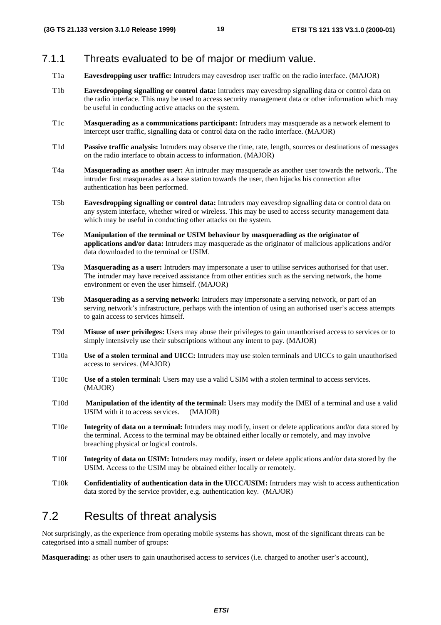### 7.1.1 Threats evaluated to be of major or medium value.

- T1a **Eavesdropping user traffic:** Intruders may eavesdrop user traffic on the radio interface. (MAJOR)
- T1b **Eavesdropping signalling or control data:** Intruders may eavesdrop signalling data or control data on the radio interface. This may be used to access security management data or other information which may be useful in conducting active attacks on the system. ETSI TS 22.1133 version 3.1.0 Release 1999)<br>
19<br>
153 1.131 version points are control due to be collected to be of major control due to make interior (MADR)<br>
1711 **Enverting these transfer interior and the control due to m** 
	- T1c **Masquerading as a communications participant:** Intruders may masquerade as a network element to intercept user traffic, signalling data or control data on the radio interface. (MAJOR)
	- T1d **Passive traffic analysis:** Intruders may observe the time, rate, length, sources or destinations of messages on the radio interface to obtain access to information. (MAJOR)
	- T4a **Masquerading as another user:** An intruder may masquerade as another user towards the network.. The intruder first masquerades as a base station towards the user, then hijacks his connection after authentication has been performed.
	- T5b **Eavesdropping signalling or control data:** Intruders may eavesdrop signalling data or control data on any system interface, whether wired or wireless. This may be used to access security management data which may be useful in conducting other attacks on the system.
	- T6e **Manipulation of the terminal or USIM behaviour by masquerading as the originator of applications and/or data:** Intruders may masquerade as the originator of malicious applications and/or data downloaded to the terminal or USIM.
	- T9a **Masquerading as a user:** Intruders may impersonate a user to utilise services authorised for that user. The intruder may have received assistance from other entities such as the serving network, the home environment or even the user himself. (MAJOR)
	- T9b **Masquerading as a serving network:** Intruders may impersonate a serving network, or part of an serving network's infrastructure, perhaps with the intention of using an authorised user's access attempts to gain access to services himself.
	- T9d **Misuse of user privileges:** Users may abuse their privileges to gain unauthorised access to services or to simply intensively use their subscriptions without any intent to pay. (MAJOR)
	- T10a **Use of a stolen terminal and UICC:** Intruders may use stolen terminals and UICCs to gain unauthorised access to services. (MAJOR)
	- T10c **Use of a stolen terminal:** Users may use a valid USIM with a stolen terminal to access services. (MAJOR)
	- T10d **Manipulation of the identity of the terminal:** Users may modify the IMEI of a terminal and use a valid USIM with it to access services. (MAJOR)
	- T10e **Integrity of data on a terminal:** Intruders may modify, insert or delete applications and/or data stored by the terminal. Access to the terminal may be obtained either locally or remotely, and may involve breaching physical or logical controls.
	- T10f **Integrity of data on USIM:** Intruders may modify, insert or delete applications and/or data stored by the USIM. Access to the USIM may be obtained either locally or remotely.
	- T10k **Confidentiality of authentication data in the UICC/USIM:** Intruders may wish to access authentication data stored by the service provider, e.g. authentication key. (MAJOR)

## 7.2 Results of threat analysis

Not surprisingly, as the experience from operating mobile systems has shown, most of the significant threats can be categorised into a small number of groups:

**Masquerading:** as other users to gain unauthorised access to services (i.e. charged to another user's account),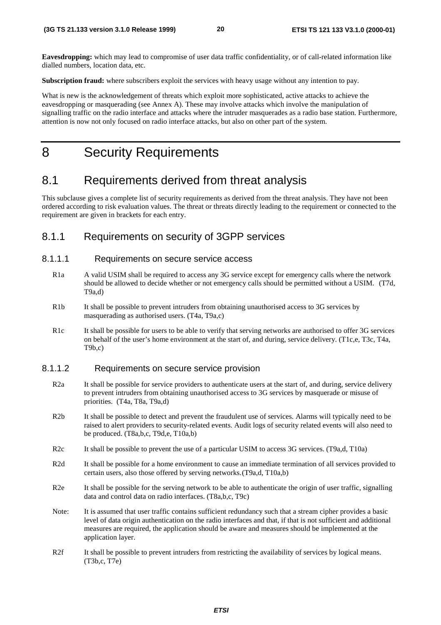**Eavesdropping:** which may lead to compromise of user data traffic confidentiality, or of call-related information like dialled numbers, location data, etc.

**Subscription fraud:** where subscribers exploit the services with heavy usage without any intention to pay.

What is new is the acknowledgement of threats which exploit more sophisticated, active attacks to achieve the eavesdropping or masquerading (see Annex A). These may involve attacks which involve the manipulation of signalling traffic on the radio interface and attacks where the intruder masquerades as a radio base station. Furthermore, attention is now not only focused on radio interface attacks, but also on other part of the system. ETSI TS 21.133 version 3.1.0 Reduces 1999)<br> **ETSI TS 21.133 version 3.1.0 Release 1999)**<br> **ETSI TS 21.133 version and Construction 3.1.0 Release 1999)**<br> **ETSI TS 21.133 version and Construction 3.1.0 Release 1999)**<br> **ETSI** 

# 8 Security Requirements

### 8.1 Requirements derived from threat analysis

This subclause gives a complete list of security requirements as derived from the threat analysis. They have not been ordered according to risk evaluation values. The threat or threats directly leading to the requirement or connected to the requirement are given in brackets for each entry.

### 8.1.1 Requirements on security of 3GPP services

#### 8.1.1.1 Requirements on secure service access

- R1a A valid USIM shall be required to access any 3G service except for emergency calls where the network should be allowed to decide whether or not emergency calls should be permitted without a USIM. (T7d, T9a,d)
- R1b It shall be possible to prevent intruders from obtaining unauthorised access to 3G services by masquerading as authorised users. (T4a, T9a,c)
- R1c It shall be possible for users to be able to verify that serving networks are authorised to offer 3G services on behalf of the user's home environment at the start of, and during, service delivery. (T1c,e, T3c, T4a,  $T9b.c$

#### 8.1.1.2 Requirements on secure service provision

- R2a It shall be possible for service providers to authenticate users at the start of, and during, service delivery to prevent intruders from obtaining unauthorised access to 3G services by masquerade or misuse of priorities. (T4a, T8a, T9a,d)
- R2b It shall be possible to detect and prevent the fraudulent use of services. Alarms will typically need to be raised to alert providers to security-related events. Audit logs of security related events will also need to be produced. (T8a,b,c, T9d,e, T10a,b)
- R2c It shall be possible to prevent the use of a particular USIM to access 3G services. (T9a,d, T10a)
- R2d It shall be possible for a home environment to cause an immediate termination of all services provided to certain users, also those offered by serving networks.(T9a,d, T10a,b)
- R2e It shall be possible for the serving network to be able to authenticate the origin of user traffic, signalling data and control data on radio interfaces. (T8a,b,c, T9c)
- Note: It is assumed that user traffic contains sufficient redundancy such that a stream cipher provides a basic level of data origin authentication on the radio interfaces and that, if that is not sufficient and additional measures are required, the application should be aware and measures should be implemented at the application layer.
- R2f It shall be possible to prevent intruders from restricting the availability of services by logical means. (T3b,c, T7e)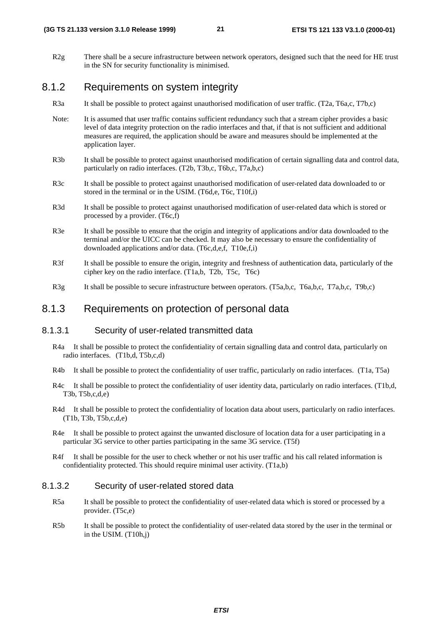R2g There shall be a secure infrastructure between network operators, designed such that the need for HE trust in the SN for security functionality is minimised.

### 8.1.2 Requirements on system integrity

- R3a It shall be possible to protect against unauthorised modification of user traffic. (T2a, T6a,c, T7b,c)
- Note: It is assumed that user traffic contains sufficient redundancy such that a stream cipher provides a basic level of data integrity protection on the radio interfaces and that, if that is not sufficient and additional measures are required, the application should be aware and measures should be implemented at the application layer. ETSI 133 version 3.1.0 Release 1999)<br>
ETSI 153 11 133 V3.1.0 (2000-01)<br>
in the SN for exertly innebtoming has because a cover control, changed set that no over 6 M-res<br>
in the SN for exertly innebtoming is minimized.<br>
SAL
	- R3b It shall be possible to protect against unauthorised modification of certain signalling data and control data, particularly on radio interfaces. (T2b, T3b,c, T6b,c, T7a,b,c)
	- R3c It shall be possible to protect against unauthorised modification of user-related data downloaded to or stored in the terminal or in the USIM. (T6d.e. T6c, T10f.i)
	- R3d It shall be possible to protect against unauthorised modification of user-related data which is stored or processed by a provider. (T6c,f)
	- R3e It shall be possible to ensure that the origin and integrity of applications and/or data downloaded to the terminal and/or the UICC can be checked. It may also be necessary to ensure the confidentiality of downloaded applications and/or data. (T6c,d,e,f, T10e,f,i)
	- R3f It shall be possible to ensure the origin, integrity and freshness of authentication data, particularly of the cipher key on the radio interface. (T1a,b, T2b, T5c, T6c)
	- R3g It shall be possible to secure infrastructure between operators. (T5a,b,c, T6a,b,c, T7a,b,c, T9b,c)

### 8.1.3 Requirements on protection of personal data

#### 8.1.3.1 Security of user-related transmitted data

- R4a It shall be possible to protect the confidentiality of certain signalling data and control data, particularly on radio interfaces. (T1b,d, T5b,c,d)
- R4b It shall be possible to protect the confidentiality of user traffic, particularly on radio interfaces. (T1a, T5a)
- R4c It shall be possible to protect the confidentiality of user identity data, particularly on radio interfaces. (T1b,d, T3b, T5b,c,d,e)
- R4d It shall be possible to protect the confidentiality of location data about users, particularly on radio interfaces. (T1b, T3b, T5b,c,d,e)
- R4e It shall be possible to protect against the unwanted disclosure of location data for a user participating in a particular 3G service to other parties participating in the same 3G service. (T5f)
- R4f It shall be possible for the user to check whether or not his user traffic and his call related information is confidentiality protected. This should require minimal user activity. (T1a,b)

#### 8.1.3.2 Security of user-related stored data

- R5a It shall be possible to protect the confidentiality of user-related data which is stored or processed by a provider. (T5c,e)
- R5b It shall be possible to protect the confidentiality of user-related data stored by the user in the terminal or in the USIM. (T10h,j)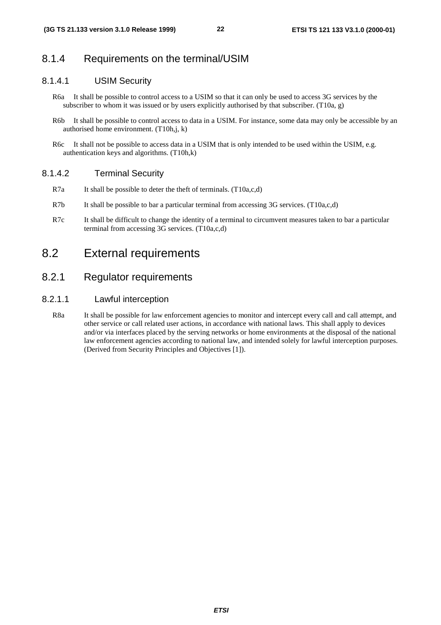### 8.1.4 Requirements on the terminal/USIM

### 8.1.4.1 USIM Security

- R6a It shall be possible to control access to a USIM so that it can only be used to access 3G services by the subscriber to whom it was issued or by users explicitly authorised by that subscriber. (T10a, g)
- R6b It shall be possible to control access to data in a USIM. For instance, some data may only be accessible by an authorised home environment. (T10h,j, k)
- R6c It shall not be possible to access data in a USIM that is only intended to be used within the USIM, e.g. authentication keys and algorithms. (T10h,k)

### 8.1.4.2 Terminal Security

- R7a It shall be possible to deter the theft of terminals. (T10a,c,d)
- R7b It shall be possible to bar a particular terminal from accessing 3G services. (T10a,c,d)
- R7c It shall be difficult to change the identity of a terminal to circumvent measures taken to bar a particular terminal from accessing 3G services. (T10a,c,d)

## 8.2 External requirements

### 8.2.1 Regulator requirements

### 8.2.1.1 Lawful interception

R8a It shall be possible for law enforcement agencies to monitor and intercept every call and call attempt, and other service or call related user actions, in accordance with national laws. This shall apply to devices and/or via interfaces placed by the serving networks or home environments at the disposal of the national law enforcement agencies according to national law, and intended solely for lawful interception purposes. (Derived from Security Principles and Objectives [1]). ETSI TS 21.133 version 3.1.0 Reduces 1999)<br>
22. ETSI TS 21 1133 V3.1.0 (2000-01)<br>
3.1.4. Requirements to related agrees to at LSM as that it and only to use the next state control is the shade the positive control access t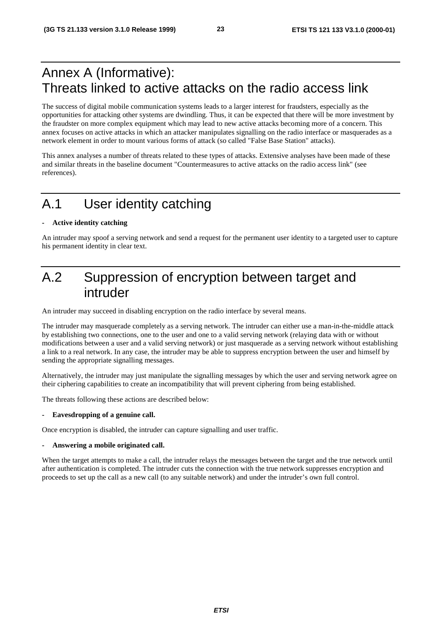# Annex A (Informative): Threats linked to active attacks on the radio access link

The success of digital mobile communication systems leads to a larger interest for fraudsters, especially as the opportunities for attacking other systems are dwindling. Thus, it can be expected that there will be more investment by the fraudster on more complex equipment which may lead to new active attacks becoming more of a concern. This annex focuses on active attacks in which an attacker manipulates signalling on the radio interface or masquerades as a network element in order to mount various forms of attack (so called "False Base Station" attacks).

This annex analyses a number of threats related to these types of attacks. Extensive analyses have been made of these and similar threats in the baseline document "Countermeasures to active attacks on the radio access link" (see references).

# A.1 User identity catching

#### **- Active identity catching**

An intruder may spoof a serving network and send a request for the permanent user identity to a targeted user to capture his permanent identity in clear text.

# A.2 Suppression of encryption between target and intruder

An intruder may succeed in disabling encryption on the radio interface by several means.

The intruder may masquerade completely as a serving network. The intruder can either use a man-in-the-middle attack by establishing two connections, one to the user and one to a valid serving network (relaying data with or without modifications between a user and a valid serving network) or just masquerade as a serving network without establishing a link to a real network. In any case, the intruder may be able to suppress encryption between the user and himself by sending the appropriate signalling messages. ETSI TS 121.133 version 3.1.0 Release 1999)<br>
Annex A (Informative):<br>
Threats linked to active attacks on the radio access link<br>
the uses of again while communication or your material in the line where the station is a de-<br>

Alternatively, the intruder may just manipulate the signalling messages by which the user and serving network agree on their ciphering capabilities to create an incompatibility that will prevent ciphering from being established.

The threats following these actions are described below:

#### **- Eavesdropping of a genuine call.**

Once encryption is disabled, the intruder can capture signalling and user traffic.

#### **- Answering a mobile originated call.**

When the target attempts to make a call, the intruder relays the messages between the target and the true network until after authentication is completed. The intruder cuts the connection with the true network suppresses encryption and proceeds to set up the call as a new call (to any suitable network) and under the intruder's own full control.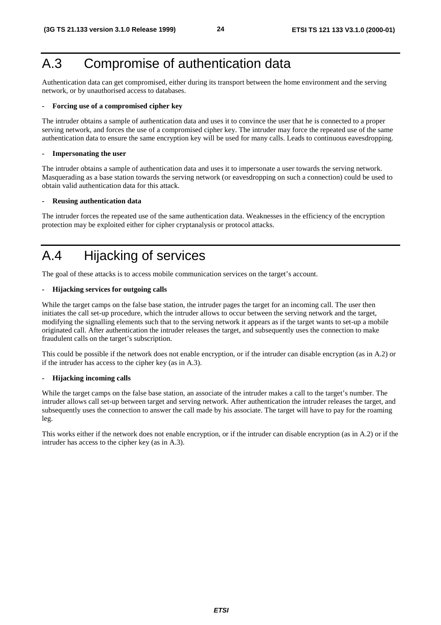# A.3 Compromise of authentication data

Authentication data can get compromised, either during its transport between the home environment and the serving network, or by unauthorised access to databases.

#### **- Forcing use of a compromised cipher key**

The intruder obtains a sample of authentication data and uses it to convince the user that he is connected to a proper serving network, and forces the use of a compromised cipher key. The intruder may force the repeated use of the same authentication data to ensure the same encryption key will be used for many calls. Leads to continuous eavesdropping.

#### **- Impersonating the user**

The intruder obtains a sample of authentication data and uses it to impersonate a user towards the serving network. Masquerading as a base station towards the serving network (or eavesdropping on such a connection) could be used to obtain valid authentication data for this attack.

#### **- Reusing authentication data**

The intruder forces the repeated use of the same authentication data. Weaknesses in the efficiency of the encryption protection may be exploited either for cipher cryptanalysis or protocol attacks.

# A.4 Hijacking of services

The goal of these attacks is to access mobile communication services on the target's account.

#### **- Hijacking services for outgoing calls**

While the target camps on the false base station, the intruder pages the target for an incoming call. The user then initiates the call set-up procedure, which the intruder allows to occur between the serving network and the target, modifying the signalling elements such that to the serving network it appears as if the target wants to set-up a mobile originated call. After authentication the intruder releases the target, and subsequently uses the connection to make fraudulent calls on the target's subscription. **ETSI TS 22.1.133 version 3.1.0 Release 1999)**<br> **A.3 Compromise dui case precimiented in the duity is transport between sixtensions and the serving and serving the serving and serving the serving and serving the serving** 

This could be possible if the network does not enable encryption, or if the intruder can disable encryption (as in A.2) or if the intruder has access to the cipher key (as in A.3).

#### **- Hijacking incoming calls**

While the target camps on the false base station, an associate of the intruder makes a call to the target's number. The intruder allows call set-up between target and serving network. After authentication the intruder releases the target, and subsequently uses the connection to answer the call made by his associate. The target will have to pay for the roaming leg.

This works either if the network does not enable encryption, or if the intruder can disable encryption (as in A.2) or if the intruder has access to the cipher key (as in A.3).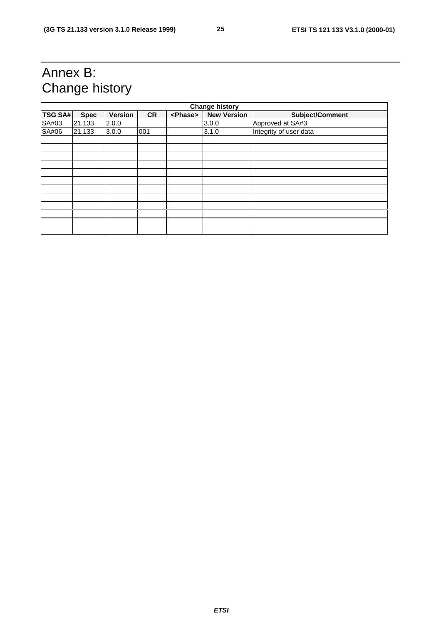# Annex B: Change history

| <b>TSG SA#</b> | <b>Spec</b><br>21.133 | Change history          |     |                 |                             |                                     |
|----------------|-----------------------|-------------------------|-----|-----------------|-----------------------------|-------------------------------------|
| SA#03          |                       |                         |     |                 | <b>Change history</b>       |                                     |
| SA#06          |                       | <b>Version</b><br>2.0.0 | CR  | <phase></phase> | <b>New Version</b><br>3.0.0 | Subject/Comment<br>Approved at SA#3 |
|                | 21.133                | 3.0.0                   | 001 |                 | 3.1.0                       | Integrity of user data              |
|                |                       |                         |     |                 |                             |                                     |
|                |                       |                         |     |                 |                             |                                     |
|                |                       |                         |     |                 |                             |                                     |
|                |                       |                         |     |                 |                             |                                     |
|                |                       |                         |     |                 |                             |                                     |
|                |                       |                         |     |                 |                             |                                     |
|                |                       |                         |     |                 |                             |                                     |
|                |                       |                         |     |                 |                             |                                     |
|                |                       |                         |     |                 |                             |                                     |
|                |                       |                         |     |                 |                             |                                     |
|                |                       |                         |     |                 |                             |                                     |
|                |                       |                         |     |                 |                             |                                     |
|                |                       |                         |     |                 |                             |                                     |
|                |                       |                         |     |                 |                             |                                     |
|                |                       |                         |     |                 | <b>ETSI</b>                 |                                     |